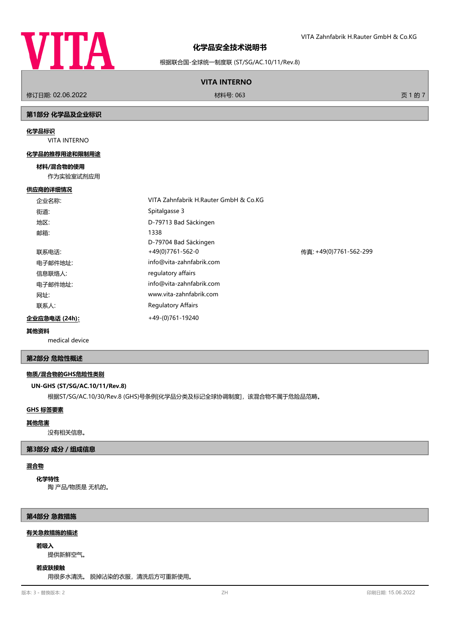

VITA Zahnfabrik H.Rauter GmbH & Co.KG

根据联合国-全球统一制度联 (ST/SG/AC.10/11/Rev.8)

## **VITA INTERNO**

修订日期: 02.06.2022 材料号: 063 页 1 的 7

# **第1部分 化学品及企业标识**

#### **化学品标识**

VITA INTERNO

#### **化学品的推荐用途和限制用途**

#### **材料/混合物的使用**

作为实验室试剂应用

### **供应商的详细情况**

|                       | 企业名称:   | VITA Zahnfabrik H.Rauter GmbH & Co.KG |                        |
|-----------------------|---------|---------------------------------------|------------------------|
|                       | 街道:     | Spitalgasse 3                         |                        |
|                       | 地区:     | D-79713 Bad Säckingen                 |                        |
|                       | 邮箱:     | 1338                                  |                        |
|                       |         | D-79704 Bad Säckingen                 |                        |
|                       | 联系电话:   | $+49(0)7761-562-0$                    | 传真: +49(0)7761-562-299 |
|                       | 电子邮件地址: | info@vita-zahnfabrik.com              |                        |
|                       | 信息联络人:  | regulatory affairs                    |                        |
|                       | 电子邮件地址: | info@vita-zahnfabrik.com              |                        |
|                       | 网址:     | www.vita-zahnfabrik.com               |                        |
|                       | 联系人:    | <b>Regulatory Affairs</b>             |                        |
| 企业应急电话 (24h) <u>:</u> |         | +49-(0)761-19240                      |                        |

#### **其他资料**

medical device

## **第2部分 危险性概述**

### **物质/混合物的GHS危险性类别**

## **UN-GHS (ST/SG/AC.10/11/Rev.8)**

根据ST/SG/AC.10/30/Rev.8 (GHS)号条例[化学品分类及标记全球协调制度], 该混合物不属于危险品范畴。

# **GHS 标签要素**

#### **其他危害**

没有相关信息。

## **第3部分 成分/组成信息**

#### **混合物**

陶 产品/物质是 无机的。 **化学特性**

#### **第4部分 急救措施**

#### **有关急救措施的描述**

#### **若吸入**

提供新鲜空气。

### **若皮肤接触**

用很多水清洗。 脱掉沾染的衣服,清洗后方可重新使用。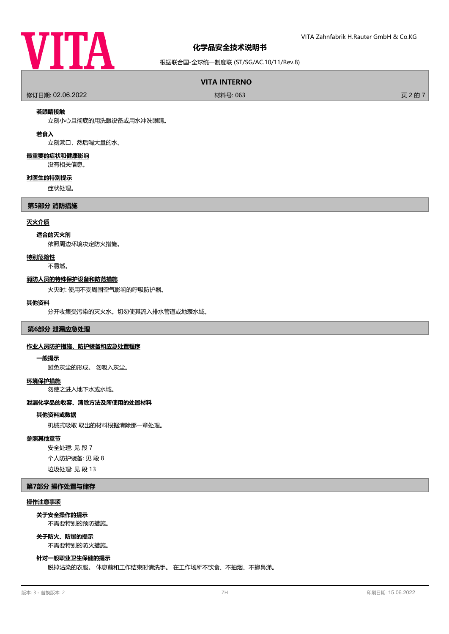

## 根据联合国-全球统一制度联 (ST/SG/AC.10/11/Rev.8)

## **VITA INTERNO**

修订日期: 02.06.2022 材料号: 063 页 2 的 7

#### **若眼睛接触**

立刻小心且彻底的用洗眼设备或用水冲洗眼睛。

## **若食入**

立刻漱口,然后喝大量的水。

### **最重要的症状和健康影响**

没有相关信息。

#### **对医生的特别提示**

症状处理。

#### **第5部分 消防措施**

## **灭火介质**

#### **适合的灭火剂**

依照周边环境决定防火措施。

#### **特别危险性**

不易燃。

#### **消防人员的特殊保护设备和防范措施**

火灾时: 使用不受周围空气影响的呼吸防护器。

#### **其他资料**

分开收集受污染的灭火水。切勿使其流入排水管道或地表水域。

#### **第6部分 泄漏应急处理**

#### **作业人员防护措施、防护装备和应急处置程序**

#### **一般提示**

避免灰尘的形成。 勿吸入灰尘。

#### **环境保护措施**

勿使之进入地下水或水域。

#### **泄漏化学品的收容、清除方法及所使用的处置材料**

#### **其他资料或数据**

机械式吸取 取出的材料根据清除那一章处理。

#### **参照其他章节**

安全处理: 见 段 7 个人防护装备: 见 段 8 垃圾处理: 见 段 13

### **第7部分 操作处置与储存**

## **操作注意事项**

不需要特别的预防措施。 **关于安全操作的提示**

#### **关于防火、防爆的提示**

不需要特别的防火措施。

## **针对一般职业卫生保健的提示**

脱掉沾染的衣服。 休息前和工作结束时请洗手。 在工作场所不饮食、不抽烟、不擤鼻涕。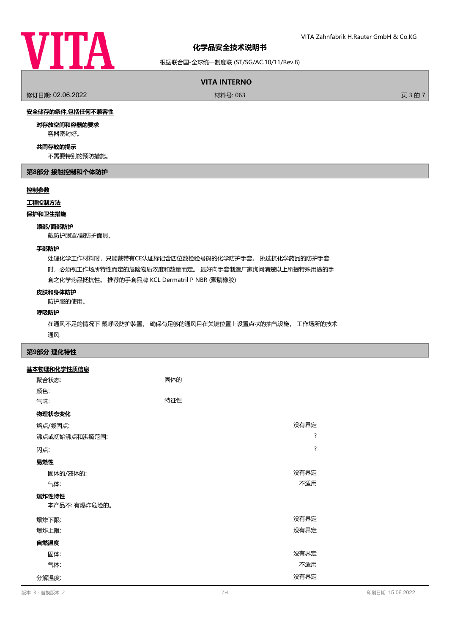

根据联合国-全球统一制度联 (ST/SG/AC.10/11/Rev.8)

# **VITA INTERNO**

修订日期: 02.06.2022 材料号: 063 页 3 的 7

# **安全储存的条件,包括任何不兼容性**

**对存放空间和容器的要求**

容器密封好。

# **共同存放的提示**

不需要特别的预防措施。

## **第8部分 接触控制和个体防护**

## **控制参数**

#### **工程控制方法**

**保护和卫生措施**

#### **眼部/面部防护**

戴防护眼罩/戴防护面具。

## **手部防护**

处理化学工作材料时,只能戴带有CE认证标记含四位数检验号码的化学防护手套。 挑选抗化学药品的防护手套

时,必须视工作场所特性而定的危险物质浓度和数量而定。 最好向手套制造厂家询问清楚以上所提特殊用途的手

套之化学药品抵抗性。 推荐的手套品牌 KCL Dermatril P NBR (聚腈橡胶)

#### **皮肤和身体防护**

防护服的使用。

## **呼吸防护**

在通风不足的情况下 戴呼吸防护装置。 确保有足够的通风且在关键位置上设置点状的抽气设施。 工作场所的技术 通风

## **第9部分 理化特性**

#### **基本物理和化学性质信息**

| 聚合状态:         | 固体的 |                    |
|---------------|-----|--------------------|
| 颜色:           |     |                    |
| 气味:           | 特征性 |                    |
| 物理状态变化        |     |                    |
| 熔点/凝固点:       |     | 没有界定               |
| 沸点或初始沸点和沸腾范围: |     | ?                  |
| 闪点:           |     | $\overline{\cdot}$ |
| 易燃性           |     |                    |
| 固体的/液体的:      |     | 没有界定               |
| 气体:           |     | 不适用                |
| 爆炸性特性         |     |                    |
| 本产品不: 有爆炸危险的。 |     |                    |
| 爆炸下限:         |     | 没有界定               |
| 爆炸上限:         |     | 没有界定               |
| 自燃温度          |     |                    |
| 固体:           |     | 没有界定               |
| 气体:           |     | 不适用                |
| 分解温度:         |     | 没有界定               |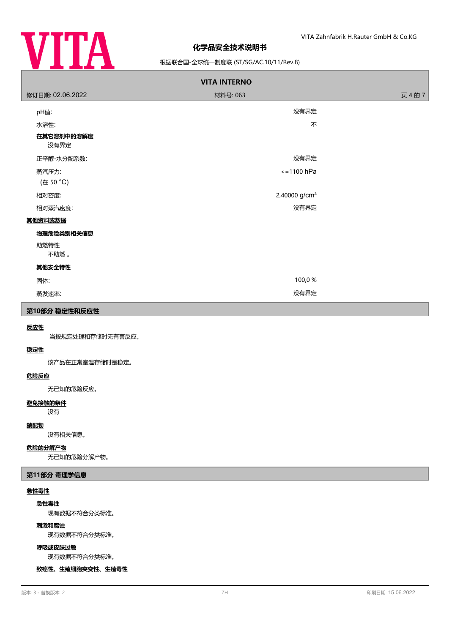

## 根据联合国-全球统一制度联 (ST/SG/AC.10/11/Rev.8)

| <b>VITA INTERNO</b> |                           |         |  |  |
|---------------------|---------------------------|---------|--|--|
| 修订日期: 02.06.2022    | 材料号: 063                  | 页 4 的 7 |  |  |
| pH值:                | 没有界定                      |         |  |  |
| 水溶性:                | 不                         |         |  |  |
| 在其它溶剂中的溶解度<br>没有界定  |                           |         |  |  |
| 正辛醇-水分配系数:          | 没有界定                      |         |  |  |
| 蒸汽压力:               | $\le$ = 1100 hPa          |         |  |  |
| (在 50 °C)           |                           |         |  |  |
| 相对密度:               | 2,40000 g/cm <sup>3</sup> |         |  |  |
| 相对蒸汽密度:             | 没有界定                      |         |  |  |
| 其他资料或数据             |                           |         |  |  |
| 物理危险类别相关信息          |                           |         |  |  |
| 助燃特性<br>不助燃。        |                           |         |  |  |
| 其他安全特性              |                           |         |  |  |
| 固体:                 | 100,0%                    |         |  |  |
| 蒸发速率:               | 没有界定                      |         |  |  |
|                     |                           |         |  |  |

# **第10部分 稳定性和反应性**

### **反应性**

当按规定处理和存储时无有害反应。

# **稳定性**

该产品在正常室温存储时是稳定。

## **危险反应**

无已知的危险反应。

## **避免接触的条件**

没有

## **禁配物**

没有相关信息。

### **危险的分解产物**

无已知的危险分解产物。

#### **第11部分 毒理学信息**

## **急性毒性**

**急性毒性**

现有数据不符合分类标准。

# **刺激和腐蚀**

现有数据不符合分类标准。

#### **呼吸或皮肤过敏**

现有数据不符合分类标准。

**致癌性、生殖细胞突变性、生殖毒性**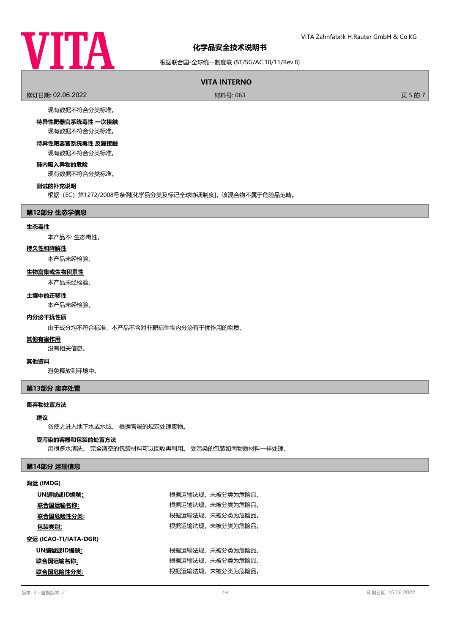

# 根据联合国-全球统一制度联 (ST/SG/AC.10/11/Rev.8)

# **VITA INTERNO**

修订日期: 02.06.2022 材料号: 063 页 5 的 7

现有数据不符合分类标准。

**特异性靶器官系统毒性 一次接触** 现有数据不符合分类标准。

**特异性靶器官系统毒性 反复接触**

现有数据不符合分类标准。

**肺内吸入异物的危险** 现有数据不符合分类标准。

### **测试的补充说明**

根据(EC)第1272/2008号条例[化学品分类及标记全球协调制度],该混合物不属于危险品范畴。

#### **第12部分 生态学信息**

#### **生态毒性**

本产品不: 生态毒性。

# **持久性和降解性**

本产品未经检验。

## **生物富集或生物积累性**

本产品未经检验。

#### **土壤中的迁移性**

本产品未经检验。

# **内分泌干扰性质**

由于成分均不符合标准,本产品不含对非靶标生物内分泌有干扰作用的物质。

#### **其他有害作用**

没有相关信息。

#### **其他资料**

避免释放到环境中。

# **第13部分 废弃处置**

## **废弃物处置方法**

## **建议**

勿使之进入地下水或水域。 根据官署的规定处理废物。

### **受污染的容器和包装的处置方法**

用很多水清洗。 完全清空的包装材料可以回收再利用。 受污染的包装如同物质材料一样处理。

## **第14部分 运输信息**

## **海运 (IMDG)**

|                       | UN編號或ID編號: |  | 根据运输法规,未被分类为危险品。 |
|-----------------------|------------|--|------------------|
|                       | 联合国运输名称:   |  | 根据运输法规,未被分类为危险品。 |
|                       | 联合国危险性分类:  |  | 根据运输法规,未被分类为危险品。 |
|                       | 包装类别:      |  | 根据运输法规,未被分类为危险品。 |
| 空运 (ICAO-TI/IATA-DGR) |            |  |                  |
|                       | UN編號或ID編號: |  | 根据运输法规,未被分类为危险品。 |
|                       | 联合国运输名称:   |  | 根据运输法规,未被分类为危险品。 |
|                       | 联合国危险性分类:  |  | 根据运输法规,未被分类为危险品。 |
|                       |            |  |                  |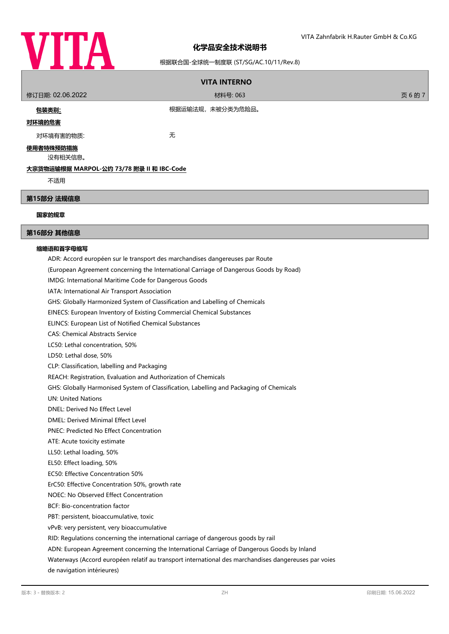

# 根据联合国-全球统一制度联 (ST/SG/AC.10/11/Rev.8)

| <b>VITA INTERNO</b>                                                          |                                                                                                      |         |  |
|------------------------------------------------------------------------------|------------------------------------------------------------------------------------------------------|---------|--|
| 修订日期: 02.06.2022                                                             | 材料号: 063                                                                                             | 页 6 的 7 |  |
| <u>包装类别:</u>                                                                 | 根据运输法规,未被分类为危险品。                                                                                     |         |  |
| 对环境的危害                                                                       |                                                                                                      |         |  |
| 对环境有害的物质:                                                                    | 无                                                                                                    |         |  |
|                                                                              |                                                                                                      |         |  |
| <u>使用者特殊预防措施</u><br>没有相关信息。                                                  |                                                                                                      |         |  |
| 大宗货物运输根据 MARPOL-公约 73/78 附录 II 和 IBC-Code                                    |                                                                                                      |         |  |
| 不适用                                                                          |                                                                                                      |         |  |
|                                                                              |                                                                                                      |         |  |
| 第15部分 法规信息                                                                   |                                                                                                      |         |  |
| 国家的规章                                                                        |                                                                                                      |         |  |
| 第16部分 其他信息                                                                   |                                                                                                      |         |  |
| 缩略语和首字母缩写                                                                    |                                                                                                      |         |  |
| ADR: Accord européen sur le transport des marchandises dangereuses par Route |                                                                                                      |         |  |
|                                                                              | (European Agreement concerning the International Carriage of Dangerous Goods by Road)                |         |  |
|                                                                              | IMDG: International Maritime Code for Dangerous Goods                                                |         |  |
| IATA: International Air Transport Association                                |                                                                                                      |         |  |
| GHS: Globally Harmonized System of Classification and Labelling of Chemicals |                                                                                                      |         |  |
| EINECS: European Inventory of Existing Commercial Chemical Substances        |                                                                                                      |         |  |
| ELINCS: European List of Notified Chemical Substances                        |                                                                                                      |         |  |
| <b>CAS: Chemical Abstracts Service</b>                                       |                                                                                                      |         |  |
|                                                                              | LC50: Lethal concentration, 50%                                                                      |         |  |
|                                                                              | LD50: Lethal dose, 50%                                                                               |         |  |
| CLP: Classification, labelling and Packaging                                 |                                                                                                      |         |  |
| REACH: Registration, Evaluation and Authorization of Chemicals               |                                                                                                      |         |  |
|                                                                              | GHS: Globally Harmonised System of Classification, Labelling and Packaging of Chemicals              |         |  |
| <b>UN: United Nations</b>                                                    |                                                                                                      |         |  |
| DNEL: Derived No Effect Level                                                |                                                                                                      |         |  |
| DMEL: Derived Minimal Effect Level                                           |                                                                                                      |         |  |
| <b>PNEC: Predicted No Effect Concentration</b>                               |                                                                                                      |         |  |
| ATE: Acute toxicity estimate                                                 |                                                                                                      |         |  |
| LL50: Lethal loading, 50%                                                    |                                                                                                      |         |  |
| EL50: Effect loading, 50%                                                    |                                                                                                      |         |  |
| EC50: Effective Concentration 50%                                            |                                                                                                      |         |  |
| ErC50: Effective Concentration 50%, growth rate                              |                                                                                                      |         |  |
| NOEC: No Observed Effect Concentration                                       |                                                                                                      |         |  |
| BCF: Bio-concentration factor                                                |                                                                                                      |         |  |
| PBT: persistent, bioaccumulative, toxic                                      |                                                                                                      |         |  |
| vPvB: very persistent, very bioaccumulative                                  |                                                                                                      |         |  |
|                                                                              | RID: Regulations concerning the international carriage of dangerous goods by rail                    |         |  |
|                                                                              | ADN: European Agreement concerning the International Carriage of Dangerous Goods by Inland           |         |  |
|                                                                              | Waterways (Accord européen relatif au transport international des marchandises dangereuses par voies |         |  |
| de navigation intérieures)                                                   |                                                                                                      |         |  |